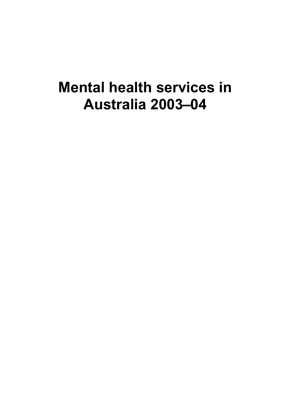# **Mental health services in Australia 2003–04**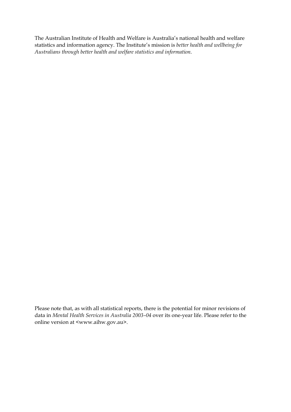The Australian Institute of Health and Welfare is Australia's national health and welfare statistics and information agency. The Institute's mission is *better health and wellbeing for Australians through better health and welfare statistics and information*.

Please note that, as with all statistical reports, there is the potential for minor revisions of data in *Mental Health Services in Australia 2003–04* over its one-year life. Please refer to the online version at <www.aihw.gov.au>.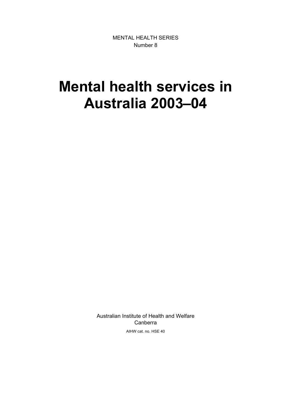MENTAL HEALTH SERIES Number 8

# **Mental health services in Australia 2003–04**

Australian Institute of Health and Welfare Canberra AIHW cat. no. HSE 40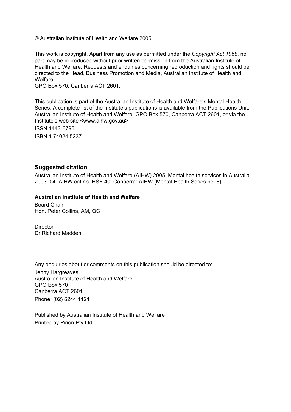© Australian Institute of Health and Welfare 2005

This work is copyright. Apart from any use as permitted under the *Copyright Act 1968*, no part may be reproduced without prior written permission from the Australian Institute of Health and Welfare. Requests and enquiries concerning reproduction and rights should be directed to the Head, Business Promotion and Media, Australian Institute of Health and Welfare,

GPO Box 570, Canberra ACT 2601.

This publication is part of the Australian Institute of Health and Welfare's Mental Health Series. A complete list of the Institute's publications is available from the Publications Unit, Australian Institute of Health and Welfare, GPO Box 570, Canberra ACT 2601, or via the Institute's web site <www.aihw.gov.au>.

ISSN 1443-6795

ISBN 1 74024 5237

#### **Suggested citation**

Australian Institute of Health and Welfare (AIHW) 2005. Mental health services in Australia 2003–04. AIHW cat no. HSE 40. Canberra: AIHW (Mental Health Series no. 8).

#### **Australian Institute of Health and Welfare**

Board Chair Hon. Peter Collins, AM, QC

**Director** Dr Richard Madden

Any enquiries about or comments on this publication should be directed to:

Jenny Hargreaves Australian Institute of Health and Welfare GPO Box 570 Canberra ACT 2601 Phone: (02) 6244 1121

Published by Australian Institute of Health and Welfare Printed by Pirion Pty Ltd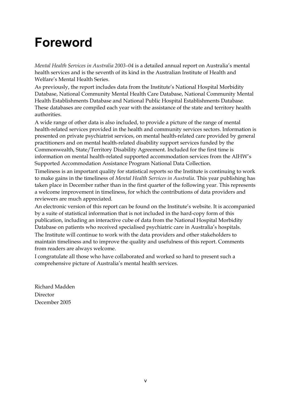# **Foreword**

*Mental Health Services in Australia 2003–04* is a detailed annual report on Australia's mental health services and is the seventh of its kind in the Australian Institute of Health and Welfare's Mental Health Series.

As previously, the report includes data from the Institute's National Hospital Morbidity Database, National Community Mental Health Care Database, National Community Mental Health Establishments Database and National Public Hospital Establishments Database. These databases are compiled each year with the assistance of the state and territory health authorities.

A wide range of other data is also included, to provide a picture of the range of mental health-related services provided in the health and community services sectors. Information is presented on private psychiatrist services, on mental health-related care provided by general practitioners and on mental health-related disability support services funded by the Commonwealth, State/Territory Disability Agreement. Included for the first time is information on mental health-related supported accommodation services from the AIHW's Supported Accommodation Assistance Program National Data Collection.

Timeliness is an important quality for statistical reports so the Institute is continuing to work to make gains in the timeliness of *Mental Health Services in Australia*. This year publishing has taken place in December rather than in the first quarter of the following year. This represents a welcome improvement in timeliness, for which the contributions of data providers and reviewers are much appreciated.

An electronic version of this report can be found on the Institute's website. It is accompanied by a suite of statistical information that is not included in the hard-copy form of this publication, including an interactive cube of data from the National Hospital Morbidity Database on patients who received specialised psychiatric care in Australia's hospitals. The Institute will continue to work with the data providers and other stakeholders to maintain timeliness and to improve the quality and usefulness of this report. Comments

from readers are always welcome.

I congratulate all those who have collaborated and worked so hard to present such a comprehensive picture of Australia's mental health services.

Richard Madden Director December 2005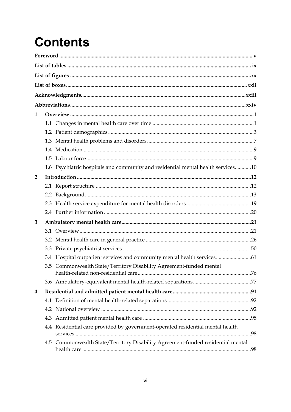# **Contents**

| 1              |     |                                                                                  |  |
|----------------|-----|----------------------------------------------------------------------------------|--|
|                |     |                                                                                  |  |
|                |     |                                                                                  |  |
|                |     |                                                                                  |  |
|                |     |                                                                                  |  |
|                |     |                                                                                  |  |
|                |     | 1.6 Psychiatric hospitals and community and residential mental health services10 |  |
| $\overline{2}$ |     |                                                                                  |  |
|                |     |                                                                                  |  |
|                |     |                                                                                  |  |
|                |     |                                                                                  |  |
|                |     |                                                                                  |  |
| 3              |     |                                                                                  |  |
|                |     |                                                                                  |  |
|                |     |                                                                                  |  |
|                |     |                                                                                  |  |
|                |     | 3.4 Hospital outpatient services and community mental health services 61         |  |
|                |     | 3.5 Commonwealth State/Territory Disability Agreement-funded mental              |  |
|                |     |                                                                                  |  |
| 4              |     |                                                                                  |  |
|                | 4.1 |                                                                                  |  |
|                |     |                                                                                  |  |
|                | 4.3 |                                                                                  |  |
|                |     | 4.4 Residential care provided by government-operated residential mental health   |  |
|                | 4.5 | Commonwealth State/Territory Disability Agreement-funded residential mental      |  |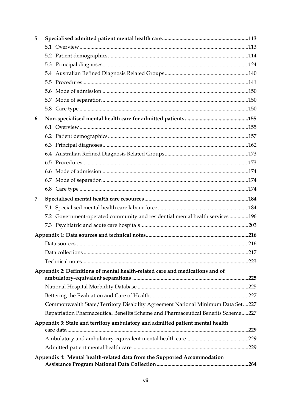| 5 |                                                                                   |      |  |
|---|-----------------------------------------------------------------------------------|------|--|
|   |                                                                                   |      |  |
|   |                                                                                   |      |  |
|   | 5.3                                                                               |      |  |
|   |                                                                                   |      |  |
|   |                                                                                   |      |  |
|   |                                                                                   |      |  |
|   |                                                                                   |      |  |
|   |                                                                                   |      |  |
| 6 |                                                                                   |      |  |
|   |                                                                                   |      |  |
|   |                                                                                   |      |  |
|   |                                                                                   |      |  |
|   |                                                                                   |      |  |
|   |                                                                                   |      |  |
|   |                                                                                   |      |  |
|   |                                                                                   |      |  |
|   |                                                                                   |      |  |
| 7 |                                                                                   |      |  |
|   |                                                                                   |      |  |
|   | 7.2 Government-operated community and residential mental health services 196      |      |  |
|   |                                                                                   |      |  |
|   |                                                                                   |      |  |
|   |                                                                                   |      |  |
|   |                                                                                   | .217 |  |
|   |                                                                                   |      |  |
|   | Appendix 2: Definitions of mental health-related care and medications and of      |      |  |
|   |                                                                                   |      |  |
|   |                                                                                   |      |  |
|   |                                                                                   |      |  |
|   | Commonwealth State/Territory Disability Agreement National Minimum Data Set227    |      |  |
|   | Repatriation Pharmaceutical Benefits Scheme and Pharmaceutical Benefits Scheme227 |      |  |
|   | Appendix 3: State and territory ambulatory and admitted patient mental health     | .229 |  |
|   |                                                                                   |      |  |
|   |                                                                                   |      |  |
|   | Appendix 4: Mental health-related data from the Supported Accommodation           |      |  |
|   |                                                                                   |      |  |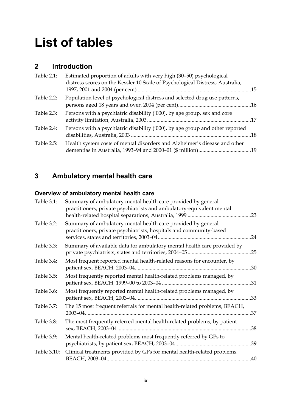# **List of tables**

## **2 Introduction**

| distress scores on the Kessler 10 Scale of Psychological Distress, Australia, |
|-------------------------------------------------------------------------------|
| Population level of psychological distress and selected drug use patterns,    |
| Persons with a psychiatric disability ('000), by age group, sex and core      |
| Persons with a psychiatric disability ('000), by age group and other reported |
| Health system costs of mental disorders and Alzheimer's disease and other     |
|                                                                               |

# **3 Ambulatory mental health care**

# **Overview of ambulatory mental health care**

| Table 3.1:  | Summary of ambulatory mental health care provided by general<br>practitioners, private psychiatrists and ambulatory-equivalent mental | .23 |
|-------------|---------------------------------------------------------------------------------------------------------------------------------------|-----|
| Table 3.2:  | Summary of ambulatory mental health care provided by general<br>practitioners, private psychiatrists, hospitals and community-based   | .24 |
| Table 3.3:  | Summary of available data for ambulatory mental health care provided by                                                               | .25 |
| Table 3.4:  | Most frequent reported mental health-related reasons for encounter, by                                                                |     |
| Table 3.5:  | Most frequently reported mental health-related problems managed, by                                                                   |     |
| Table 3.6:  | Most frequently reported mental health-related problems managed, by                                                                   | .33 |
| Table 3.7:  | The 15 most frequent referrals for mental health-related problems, BEACH,                                                             | .37 |
| Table 3.8:  | The most frequently referred mental health-related problems, by patient                                                               | .38 |
| Table 3.9:  | Mental health-related problems most frequently referred by GPs to                                                                     | .39 |
| Table 3.10: | Clinical treatments provided by GPs for mental health-related problems,                                                               | .40 |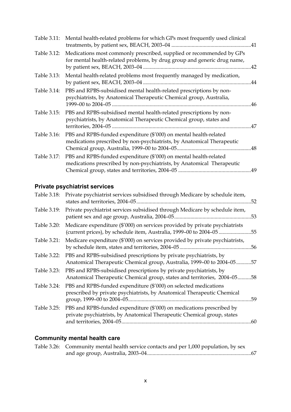| Table 3.11: | Mental health-related problems for which GPs most frequently used clinical                                                                       |  |
|-------------|--------------------------------------------------------------------------------------------------------------------------------------------------|--|
| Table 3.12: | Medications most commonly prescribed, supplied or recommended by GPs<br>for mental health-related problems, by drug group and generic drug name, |  |
| Table 3.13: | Mental health-related problems most frequently managed by medication,                                                                            |  |
| Table 3.14: | PBS and RPBS-subsidised mental health-related prescriptions by non-<br>psychiatrists, by Anatomical Therapeutic Chemical group, Australia,       |  |
| Table 3.15: | PBS and RPBS-subsidised mental health-related prescriptions by non-<br>psychiatrists, by Anatomical Therapeutic Chemical group, states and       |  |
| Table 3.16: | PBS and RPBS-funded expenditure (\$'000) on mental health-related<br>medications prescribed by non-psychiatrists, by Anatomical Therapeutic      |  |
| Table 3.17: | PBS and RPBS-funded expenditure (\$'000) on mental health-related<br>medications prescribed by non-psychiatrists, by Anatomical Therapeutic      |  |

## **Private psychiatrist services**

|             | Table 3.18: Private psychiatrist services subsidised through Medicare by schedule item,                                                             |     |
|-------------|-----------------------------------------------------------------------------------------------------------------------------------------------------|-----|
| Table 3.19: | Private psychiatrist services subsidised through Medicare by schedule item,                                                                         |     |
| Table 3.20: | Medicare expenditure (\$'000) on services provided by private psychiatrists<br>(current prices), by schedule item, Australia, 1999-00 to 2004-05 55 |     |
| Table 3.21: | Medicare expenditure (\$'000) on services provided by private psychiatrists,                                                                        | .56 |
| Table 3.22: | PBS and RPBS-subsidised prescriptions by private psychiatrists, by<br>Anatomical Therapeutic Chemical group, Australia, 1999-00 to 2004-05          | .57 |
| Table 3.23: | PBS and RPBS-subsidised prescriptions by private psychiatrists, by<br>Anatomical Therapeutic Chemical group, states and territories, 2004-05        | .58 |
| Table 3.24: | PBS and RPBS-funded expenditure (\$'000) on selected medications<br>prescribed by private psychiatrists, by Anatomical Therapeutic Chemical         | .59 |
| Table 3.25: | PBS and RPBS-funded expenditure (\$'000) on medications prescribed by<br>private psychiatrists, by Anatomical Therapeutic Chemical group, states    |     |

# **Community mental health care**

| Table 3.26: Community mental health service contacts and per 1,000 population, by sex |
|---------------------------------------------------------------------------------------|
|                                                                                       |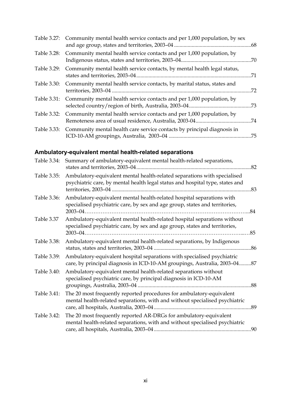|             | Table 3.27: Community mental health service contacts and per 1,000 population, by sex |     |
|-------------|---------------------------------------------------------------------------------------|-----|
| Table 3.28: | Community mental health service contacts and per 1,000 population, by                 |     |
|             | Table 3.29: Community mental health service contacts, by mental health legal status,  |     |
|             | Table 3.30: Community mental health service contacts, by marital status, states and   | .72 |
|             | Table 3.31: Community mental health service contacts and per 1,000 population, by     |     |
|             | Table 3.32: Community mental health service contacts and per 1,000 population, by     |     |
|             | Table 3.33: Community mental health care service contacts by principal diagnosis in   |     |

## **Ambulatory-equivalent mental health-related separations**

| Table 3.34: | Summary of ambulatory-equivalent mental health-related separations,                                                                                       | .82 |
|-------------|-----------------------------------------------------------------------------------------------------------------------------------------------------------|-----|
| Table 3.35: | Ambulatory-equivalent mental health-related separations with specialised<br>psychiatric care, by mental health legal status and hospital type, states and | .83 |
| Table 3.36: | Ambulatory-equivalent mental health-related hospital separations with<br>specialised psychiatric care, by sex and age group, states and territories,      | .84 |
| Table 3.37  | Ambulatory-equivalent mental health-related hospital separations without<br>specialised psychiatric care, by sex and age group, states and territories,   | .85 |
| Table 3.38: | Ambulatory-equivalent mental health-related separations, by Indigenous<br>status, states and territories, 2003-04.                                        | .86 |
| Table 3.39: | Ambulatory-equivalent hospital separations with specialised psychiatric<br>care, by principal diagnosis in ICD-10-AM groupings, Australia, 2003-0487      |     |
| Table 3.40: | Ambulatory-equivalent mental health-related separations without<br>specialised psychiatric care, by principal diagnosis in ICD-10-AM                      | .88 |
| Table 3.41: | The 20 most frequently reported procedures for ambulatory-equivalent<br>mental health-related separations, with and without specialised psychiatric       |     |
| Table 3.42: | The 20 most frequently reported AR-DRGs for ambulatory-equivalent<br>mental health-related separations, with and without specialised psychiatric          | .90 |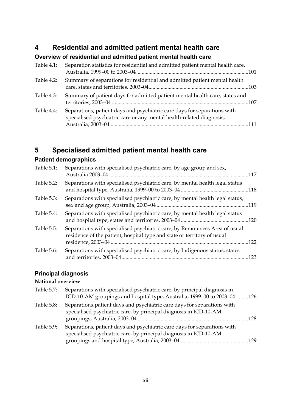## **4 Residential and admitted patient mental health care**

### **Overview of residential and admitted patient mental health care**

| Table 4.1: | Separation statistics for residential and admitted patient mental health care,                                                                   |  |
|------------|--------------------------------------------------------------------------------------------------------------------------------------------------|--|
| Table 4.2: | Summary of separations for residential and admitted patient mental health                                                                        |  |
| Table 4.3: | Summary of patient days for admitted patient mental health care, states and                                                                      |  |
| Table 4.4: | Separations, patient days and psychiatric care days for separations with<br>specialised psychiatric care or any mental health-related diagnosis, |  |
|            |                                                                                                                                                  |  |

# **5 Specialised admitted patient mental health care**

## **Patient demographics**

| Table 5.1: | Separations with specialised psychiatric care, by age group and sex,                                                                                  | 117 |
|------------|-------------------------------------------------------------------------------------------------------------------------------------------------------|-----|
| Table 5.2: | Separations with specialised psychiatric care, by mental health legal status                                                                          |     |
| Table 5.3: | Separations with specialised psychiatric care, by mental health legal status,                                                                         |     |
| Table 5.4: | Separations with specialised psychiatric care, by mental health legal status                                                                          |     |
| Table 5.5: | Separations with specialised psychiatric care, by Remoteness Area of usual<br>residence of the patient, hospital type and state or territory of usual | 122 |
| Table 5.6: | Separations with specialised psychiatric care, by Indigenous status, states                                                                           |     |

## **Principal diagnosis**

#### **National overview**

| Table 5.7: | Separations with specialised psychiatric care, by principal diagnosis in<br>ICD-10-AM groupings and hospital type, Australia, 1999-00 to 2003-04 126 |      |
|------------|------------------------------------------------------------------------------------------------------------------------------------------------------|------|
| Table 5.8: | Separations, patient days and psychiatric care days for separations with<br>specialised psychiatric care, by principal diagnosis in ICD-10-AM        | -128 |
| Table 5.9: | Separations, patient days and psychiatric care days for separations with<br>specialised psychiatric care, by principal diagnosis in ICD-10-AM        |      |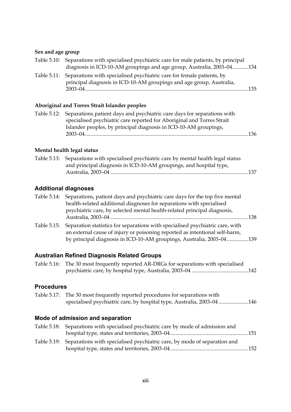## **Sex and age group**

| Table 5.10: Separations with specialised psychiatric care for male patients, by principal                                                                 |       |
|-----------------------------------------------------------------------------------------------------------------------------------------------------------|-------|
| diagnosis in ICD-10-AM groupings and age group, Australia, 2003-04134                                                                                     |       |
| Table 5.11: Separations with specialised psychiatric care for female patients, by<br>principal diagnosis in ICD-10-AM groupings and age group, Australia, | - 135 |
|                                                                                                                                                           |       |

## **Aboriginal and Torres Strait Islander peoples**

| Table 5.12: Separations, patient days and psychiatric care days for separations with |  |
|--------------------------------------------------------------------------------------|--|
| specialised psychiatric care reported for Aboriginal and Torres Strait               |  |
| Islander peoples, by principal diagnosis in ICD-10-AM groupings,                     |  |
|                                                                                      |  |
|                                                                                      |  |

#### **Mental health legal status**

| Table 5.13: Separations with specialised psychiatric care by mental health legal status |  |
|-----------------------------------------------------------------------------------------|--|
| and principal diagnosis in ICD-10-AM groupings, and hospital type,                      |  |
|                                                                                         |  |

## **Additional diagnoses**

| health-related additional diagnoses for separations with specialised                                                                                                                                                                             |                                                                                         |
|--------------------------------------------------------------------------------------------------------------------------------------------------------------------------------------------------------------------------------------------------|-----------------------------------------------------------------------------------------|
| psychiatric care, by selected mental health-related principal diagnosis,                                                                                                                                                                         |                                                                                         |
|                                                                                                                                                                                                                                                  | -138                                                                                    |
| Table 5.15: Separation statistics for separations with specialised psychiatric care, with<br>an external cause of injury or poisoning reported as intentional self-harm,<br>by principal diagnosis in ICD-10-AM groupings, Australia, 2003-04139 |                                                                                         |
|                                                                                                                                                                                                                                                  | Table 5.14: Separations, patient days and psychiatric care days for the top five mental |

## **Australian Refined Diagnosis Related Groups**

| Table 5.16: The 30 most frequently reported AR-DRGs for separations with specialised |  |
|--------------------------------------------------------------------------------------|--|
|                                                                                      |  |

### **Procedures**

| Table 5.17: The 30 most frequently reported procedures for separations with |
|-----------------------------------------------------------------------------|
| specialised psychiatric care, by hospital type, Australia, 2003-04146       |

### **Mode of admission and separation**

| Table 5.18: Separations with specialised psychiatric care by mode of admission and   |  |
|--------------------------------------------------------------------------------------|--|
|                                                                                      |  |
| Table 5.19: Separations with specialised psychiatric care, by mode of separation and |  |
|                                                                                      |  |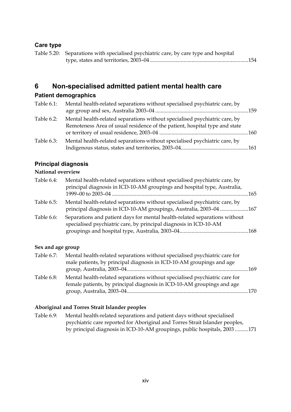## **Care type**

| Table 5.20: Separations with specialised psychiatric care, by care type and hospital |
|--------------------------------------------------------------------------------------|
|                                                                                      |

## **6 Non-specialised admitted patient mental health care**

### **Patient demographics**

| Table 6.1: | Mental health-related separations without specialised psychiatric care, by |  |
|------------|----------------------------------------------------------------------------|--|
| Table 6.2: | Mental health-related separations without specialised psychiatric care, by |  |
|            | Remoteness Area of usual residence of the patient, hospital type and state |  |
| Table 6.3: | Mental health-related separations without specialised psychiatric care, by |  |
|            |                                                                            |  |

#### **Principal diagnosis**

#### **National overview**

| Table 6.4: | Mental health-related separations without specialised psychiatric care, by<br>principal diagnosis in ICD-10-AM groupings and hospital type, Australia, | -165 |
|------------|--------------------------------------------------------------------------------------------------------------------------------------------------------|------|
| Table 6.5: | Mental health-related separations without specialised psychiatric care, by<br>principal diagnosis in ICD-10-AM groupings, Australia, 2003-04 167       |      |
| Table 6.6: | Separations and patient days for mental health-related separations without<br>specialised psychiatric care, by principal diagnosis in ICD-10-AM        |      |

#### **Sex and age group**

| Table 6.7: | Mental health-related separations without specialised psychiatric care for<br>male patients, by principal diagnosis in ICD-10-AM groupings and age   |     |
|------------|------------------------------------------------------------------------------------------------------------------------------------------------------|-----|
|            |                                                                                                                                                      | 169 |
| Table 6.8: | Mental health-related separations without specialised psychiatric care for<br>female patients, by principal diagnosis in ICD-10-AM groupings and age |     |
|            |                                                                                                                                                      |     |

#### **Aboriginal and Torres Strait Islander peoples**

Table 6.9: Mental health-related separations and patient days without specialised psychiatric care reported for Aboriginal and Torres Strait Islander peoples, by principal diagnosis in ICD-10-AM groupings, public hospitals, 2003 ..........171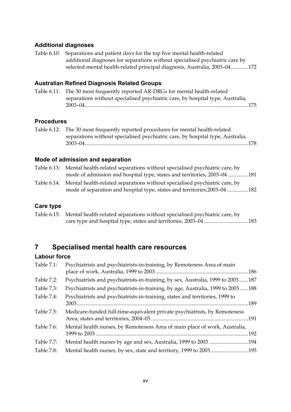#### **Additional diagnoses**

Table 6.10: Separations and patient days for the top five mental health-related additional diagnoses for separations without specialised psychiatric care by selected mental health-related principal diagnosis, Australia, 2003–04.............172

#### **Australian Refined Diagnosis Related Groups**

Table 6.11: The 30 most frequently reported AR-DRGs for mental health-related separations without specialised psychiatric care, by hospital type, Australia, 2003–04.........................................................................................................................175

#### **Procedures**

Table 6.12: The 30 most frequently reported procedures for mental health-related separations without specialised psychiatric care, by hospital type, Australia, 2003–04.........................................................................................................................178

#### **Mode of admission and separation**

| Table 6.13: Mental health-related separations without specialised psychiatric care, by |
|----------------------------------------------------------------------------------------|
| mode of admission and hospital type, states and territories, 2003–04 181               |

Table 6.14: Mental health-related separations without specialised psychiatric care, by mode of separation and hospital type, states and territories,2003–04 ................182

#### **Care type**

Table 6.15: Mental health-related separations without specialised psychiatric care, by care type and hospital type, states and territories, 2003–04 .................................183

### **7 Specialised mental health care resources**

#### **Labour force**

| Table 7.1: | Psychiatrists and psychiatrists-in-training, by Remoteness Area of main          |      |
|------------|----------------------------------------------------------------------------------|------|
|            |                                                                                  |      |
| Table 7.2: | Psychiatrists and psychiatrists-in-training, by sex, Australia, 1999 to 2003187  |      |
| Table 7.3: | Psychiatrists and psychiatrists-in-training, by age, Australia, 1999 to 2003 188 |      |
| Table 7.4: | Psychiatrists and psychiatrists-in-training, states and territories, 1999 to     |      |
|            |                                                                                  |      |
| Table 7.5: | Medicare-funded full-time-equivalent private psychiatrists, by Remoteness        |      |
|            |                                                                                  |      |
| Table 7.6: | Mental health nurses, by Remoteness Area of main place of work, Australia,       |      |
|            |                                                                                  | .192 |
| Table 7.7: | Mental health nurses by age and sex, Australia, 1999 to 2003 194                 |      |
| Table 7.8: | Mental health nurses, by sex, state and territory, 1999 to 2003195               |      |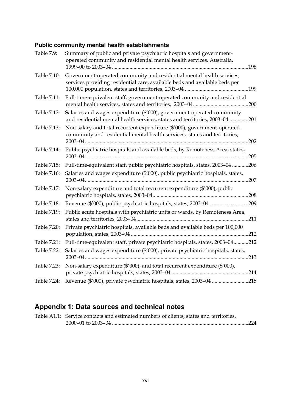## **Public community mental health establishments**

| Table 7.9:  | Summary of public and private psychiatric hospitals and government-<br>operated community and residential mental health services, Australia,          |
|-------------|-------------------------------------------------------------------------------------------------------------------------------------------------------|
| Table 7.10: | Government-operated community and residential mental health services,<br>services providing residential care, available beds and available beds per   |
| Table 7.11: | Full-time-equivalent staff, government-operated community and residential                                                                             |
| Table 7.12: | Salaries and wages expenditure (\$'000), government-operated community<br>and residential mental health services, states and territories, 2003-04 201 |
| Table 7.13: | Non-salary and total recurrent expenditure (\$'000), government-operated<br>community and residential mental health services, states and territories, |
| Table 7.14: | Public psychiatric hospitals and available beds, by Remoteness Area, states,                                                                          |
| Table 7.15: | Full-time-equivalent staff, public psychiatric hospitals, states, 2003-04 206                                                                         |
| Table 7.16: | Salaries and wages expenditure (\$'000), public psychiatric hospitals, states,                                                                        |
| Table 7.17: | Non-salary expenditure and total recurrent expenditure (\$'000), public                                                                               |
| Table 7.18: |                                                                                                                                                       |
| Table 7.19: | Public acute hospitals with psychiatric units or wards, by Remoteness Area,                                                                           |
| Table 7.20: | Private psychiatric hospitals, available beds and available beds per 100,000                                                                          |
| Table 7.21: | Full-time-equivalent staff, private psychiatric hospitals, states, 2003-04212                                                                         |
| Table 7.22: | Salaries and wages expenditure (\$'000), private psychiatric hospitals, states,                                                                       |
| Table 7.23: | Non-salary expenditure (\$'000), and total recurrent expenditure (\$'000),                                                                            |
| Table 7.24: | Revenue (\$'000), private psychiatric hospitals, states, 2003-04 215                                                                                  |

# **Appendix 1: Data sources and technical notes**

| Table A1.1: Service contacts and estimated numbers of clients, states and territories, |  |
|----------------------------------------------------------------------------------------|--|
|                                                                                        |  |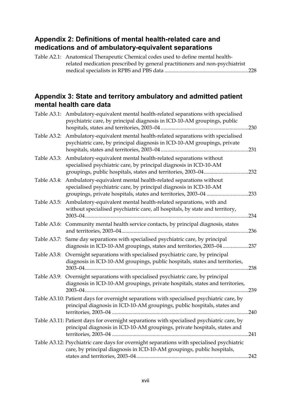## **Appendix 2: Definitions of mental health-related care and medications and of ambulatory-equivalent separations**

| Table A2.1: Anatomical Therapeutic Chemical codes used to define mental health- |  |
|---------------------------------------------------------------------------------|--|
| related medication prescribed by general practitioners and non-psychiatrist     |  |
|                                                                                 |  |

## **Appendix 3: State and territory ambulatory and admitted patient mental health care data**

|             | Table A3.1: Ambulatory-equivalent mental health-related separations with specialised<br>psychiatric care, by principal diagnosis in ICD-10-AM groupings, public                                                  |      |
|-------------|------------------------------------------------------------------------------------------------------------------------------------------------------------------------------------------------------------------|------|
|             | Table A3.2: Ambulatory-equivalent mental health-related separations with specialised<br>psychiatric care, by principal diagnosis in ICD-10-AM groupings, private                                                 |      |
|             | Table A3.3: Ambulatory-equivalent mental health-related separations without<br>specialised psychiatric care, by principal diagnosis in ICD-10-AM<br>groupings, public hospitals, states and territories, 2003-04 | .232 |
| Table A3.4: | Ambulatory-equivalent mental health-related separations without<br>specialised psychiatric care, by principal diagnosis in ICD-10-AM<br>groupings, private hospitals, states and territories, 2003-04            | .233 |
| Table A3.5: | Ambulatory-equivalent mental health-related separations, with and<br>without specialised psychiatric care, all hospitals, by state and territory,                                                                | .234 |
|             | Table A3.6: Community mental health service contacts, by principal diagnosis, states                                                                                                                             | .236 |
|             | Table A3.7: Same day separations with specialised psychiatric care, by principal<br>diagnosis in ICD-10-AM groupings, states and territories, 2003-04237                                                         |      |
| Table A3.8: | Overnight separations with specialised psychiatric care, by principal<br>diagnosis in ICD-10-AM groupings, public hospitals, states and territories,                                                             | .238 |
|             | Table A3.9: Overnight separations with specialised psychiatric care, by principal<br>diagnosis in ICD-10-AM groupings, private hospitals, states and territories,<br>$2003 - 04$ .                               | .239 |
|             | Table A3.10: Patient days for overnight separations with specialised psychiatric care, by<br>principal diagnosis in ICD-10-AM groupings, public hospitals, states and                                            | .240 |
|             | Table A3.11: Patient days for overnight separations with specialised psychiatric care, by<br>principal diagnosis in ICD-10-AM groupings, private hospitals, states and                                           |      |
|             | Table A3.12: Psychiatric care days for overnight separations with specialised psychiatric<br>care, by principal diagnosis in ICD-10-AM groupings, public hospitals,                                              |      |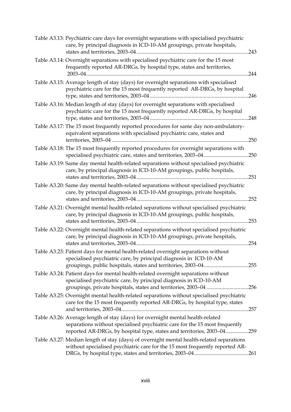| Table A3.13: Psychiatric care days for overnight separations with specialised psychiatric<br>care, by principal diagnosis in ICD-10-AM groupings, private hospitals,                                                                    | .243 |
|-----------------------------------------------------------------------------------------------------------------------------------------------------------------------------------------------------------------------------------------|------|
| Table A3.14: Overnight separations with specialised psychiatric care for the 15 most<br>frequently reported AR-DRGs, by hospital type, states and territories,                                                                          | 244  |
| Table A3.15: Average length of stay (days) for overnight separations with specialised<br>psychiatric care for the 15 most frequently reported AR-DRGs, by hospital                                                                      | .246 |
| Table A3.16: Median length of stay (days) for overnight separations with specialised<br>psychiatric care for the 15 most frequently reported AR-DRGs, by hospital                                                                       | 248  |
| Table A3.17: The 15 most frequently reported procedures for same day non-ambulatory-<br>equivalent separations with specialised psychiatric care, states and                                                                            | .250 |
| Table A3.18: The 15 most frequently reported procedures for overnight separations with<br>specialised psychiatric care, states and territories, 2003-04250                                                                              |      |
| Table A3.19: Same day mental health-related separations without specialised psychiatric<br>care, by principal diagnosis in ICD-10-AM groupings, public hospitals,                                                                       | .251 |
| Table A3.20: Same day mental health-related separations without specialised psychiatric<br>care, by principal diagnosis in ICD-10-AM groupings, private hospitals,                                                                      |      |
| Table A3.21: Overnight mental health-related separations without specialised psychiatric<br>care, by principal diagnosis in ICD-10-AM groupings, public hospitals,                                                                      |      |
| Table A3.22: Overnight mental health-related separations without specialised psychiatric<br>care, by principal diagnosis in ICD-10-AM groupings, private hospitals,                                                                     |      |
| Table A3.23: Patient days for mental health-related overnight separations without<br>specialised psychiatric care, by principal diagnosis in ICD-10-AM<br>groupings, public hospitals, states and territories, 2003-04255               |      |
| Table A3.24: Patient days for mental health-related overnight separations without<br>specialised psychiatric care, by principal diagnosis in ICD-10-AM<br>groupings, private hospitals, states and territories, 2003-04 256             |      |
| Table A3.25: Overnight mental health-related separations without specialised psychiatric<br>care for the 15 most frequently reported AR-DRGs, by hospital type, states                                                                  |      |
| Table A3.26: Average length of stay (days) for overnight mental health-related<br>separations without specialised psychiatric care for the 15 most frequently<br>reported AR-DRGs, by hospital type, states and territories, 2003-04259 |      |
| Table A3.27: Median length of stay (days) of overnight mental health-related separations<br>without specialised psychiatric care for the 15 most frequently reported AR-                                                                |      |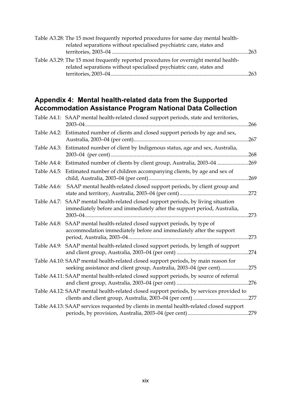| Table A3.28: The 15 most frequently reported procedures for same day mental health-  |  |
|--------------------------------------------------------------------------------------|--|
| related separations without specialised psychiatric care, states and                 |  |
|                                                                                      |  |
| Table A3.29: The 15 most frequently reported procedures for overnight mental health- |  |
| related separations without specialised psychiatric care, states and                 |  |
|                                                                                      |  |

## **Appendix 4: Mental health-related data from the Supported Accommodation Assistance Program National Data Collection**

|             | Table A4.1: SAAP mental health-related closed support periods, state and territories,                                                                       | .266 |
|-------------|-------------------------------------------------------------------------------------------------------------------------------------------------------------|------|
|             | Table A4.2: Estimated number of clients and closed support periods by age and sex,                                                                          | .267 |
|             | Table A4.3: Estimated number of client by Indigenous status, age and sex, Australia,                                                                        | .268 |
|             | Table A4.4: Estimated number of clients by client group, Australia, 2003-04                                                                                 | .269 |
| Table A4.5: | Estimated number of children accompanying clients, by age and sex of                                                                                        | .269 |
| Table A4.6: | SAAP mental health-related closed support periods, by client group and                                                                                      |      |
| Table A4.7: | SAAP mental health-related closed support periods, by living situation<br>immediately before and immediately after the support period, Australia,           | .273 |
|             | Table A4.8: SAAP mental health-related closed support periods, by type of<br>accommodation immediately before and immediately after the support             | .273 |
|             | Table A4.9: SAAP mental health-related closed support periods, by length of support                                                                         |      |
|             | Table A4.10: SAAP mental health-related closed support periods, by main reason for<br>seeking assistance and client group, Australia, 2003-04 (per cent)275 |      |
|             | Table A4.11: SAAP mental health-related closed support periods, by source of referral                                                                       |      |
|             | Table A4.12: SAAP mental health-related closed support periods, by services provided to                                                                     |      |
|             | Table A4.13: SAAP services requested by clients in mental health-related closed support                                                                     |      |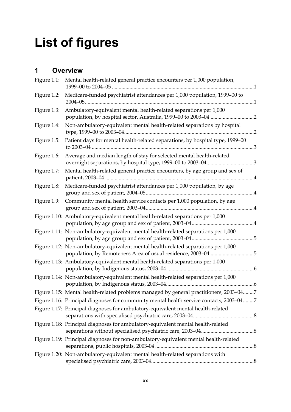# **List of figures**

# **1 Overview**

| Figure 1.1: | Mental health-related general practice encounters per 1,000 population,                                                                            |  |
|-------------|----------------------------------------------------------------------------------------------------------------------------------------------------|--|
| Figure 1.2: | Medicare-funded psychiatrist attendances per 1,000 population, 1999-00 to                                                                          |  |
| Figure 1.3: | Ambulatory-equivalent mental health-related separations per 1,000                                                                                  |  |
| Figure 1.4: | Non-ambulatory-equivalent mental health-related separations by hospital                                                                            |  |
| Figure 1.5: | Patient days for mental health-related separations, by hospital type, 1999-00                                                                      |  |
| Figure 1.6: | Average and median length of stay for selected mental health-related                                                                               |  |
| Figure 1.7: | Mental health-related general practice encounters, by age group and sex of                                                                         |  |
| Figure 1.8: | Medicare-funded psychiatrist attendances per 1,000 population, by age                                                                              |  |
| Figure 1.9: | Community mental health service contacts per 1,000 population, by age                                                                              |  |
|             | Figure 1.10: Ambulatory-equivalent mental health-related separations per 1,000                                                                     |  |
|             | Figure 1.11: Non-ambulatory-equivalent mental health-related separations per 1,000                                                                 |  |
|             | Figure 1.12: Non-ambulatory-equivalent mental health-related separations per 1,000<br>population, by Remoteness Area of usual residence, 2003-04 5 |  |
|             | Figure 1.13: Ambulatory-equivalent mental health-related separations per 1,000                                                                     |  |
|             | Figure 1.14: Non-ambulatory-equivalent mental health-related separations per 1,000                                                                 |  |
|             | Figure 1.15: Mental health-related problems managed by general practitioners, 2003-047                                                             |  |
|             | Figure 1.16: Principal diagnoses for community mental health service contacts, 2003-047                                                            |  |
|             | Figure 1.17: Principal diagnoses for ambulatory-equivalent mental health-related                                                                   |  |
|             | Figure 1.18: Principal diagnoses for ambulatory-equivalent mental health-related                                                                   |  |
|             | Figure 1.19: Principal diagnoses for non-ambulatory-equivalent mental health-related                                                               |  |
|             | Figure 1.20: Non-ambulatory-equivalent mental health-related separations with                                                                      |  |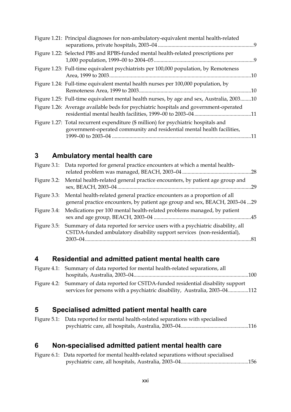| Figure 1.21: Principal diagnoses for non-ambulatory-equivalent mental health-related                                                                           |     |
|----------------------------------------------------------------------------------------------------------------------------------------------------------------|-----|
| Figure 1.22: Selected PBS and RPBS-funded mental health-related prescriptions per                                                                              |     |
| Figure 1.23: Full-time equivalent psychiatrists per 100,000 population, by Remoteness                                                                          |     |
| Figure 1.24: Full-time equivalent mental health nurses per 100,000 population, by                                                                              |     |
| Figure 1.25: Full-time equivalent mental health nurses, by age and sex, Australia, 200310                                                                      |     |
| Figure 1.26: Average available beds for psychiatric hospitals and government-operated                                                                          |     |
| Figure 1.27: Total recurrent expenditure (\$ million) for psychiatric hospitals and<br>government-operated community and residential mental health facilities, | .11 |

# **3 Ambulatory mental health care**

| Figure 3.1: Data reported for general practice encounters at which a mental health-                                                                                  |  |
|----------------------------------------------------------------------------------------------------------------------------------------------------------------------|--|
| Figure 3.2: Mental health-related general practice encounters, by patient age group and                                                                              |  |
| Figure 3.3: Mental health-related general practice encounters as a proportion of all<br>general practice encounters, by patient age group and sex, BEACH, 2003-04 29 |  |
| Figure 3.4: Medications per 100 mental health-related problems managed, by patient                                                                                   |  |
| Figure 3.5: Summary of data reported for service users with a psychiatric disability, all<br>CSTDA-funded ambulatory disability support services (non-residential),  |  |

## **4 Residential and admitted patient mental health care**

| Figure 4.1: Summary of data reported for mental health-related separations, all      |  |
|--------------------------------------------------------------------------------------|--|
|                                                                                      |  |
| Figure 4.2: Summary of data reported for CSTDA-funded residential disability support |  |
| services for persons with a psychiatric disability, Australia, 2003-04112            |  |

# **5 Specialised admitted patient mental health care**

| Figure 5.1: Data reported for mental health-related separations with specialised |  |
|----------------------------------------------------------------------------------|--|
|                                                                                  |  |

## **6 Non-specialised admitted patient mental health care**

| Figure 6.1: Data reported for mental health-related separations without specialised |  |
|-------------------------------------------------------------------------------------|--|
|                                                                                     |  |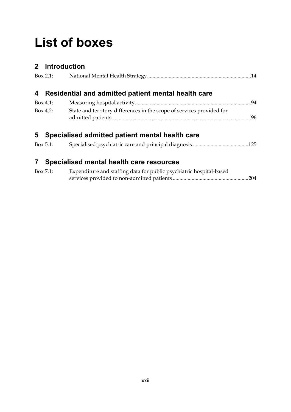# **List of boxes**

# **2 Introduction**  Box 2.1: National Mental Health Strategy.............................................................................14 **4 Residential and admitted patient mental health care**  Box 4.1: Measuring hospital activity......................................................................................94 Box 4.2: State and territory differences in the scope of services provided for admitted patients.......................................................................................................96 **5 Specialised admitted patient mental health care**

|  | $Box 5.1$ : |  |  |  |
|--|-------------|--|--|--|
|--|-------------|--|--|--|

## **7 Specialised mental health care resources**

| Box 7.1: | Expenditure and staffing data for public psychiatric hospital-based |  |
|----------|---------------------------------------------------------------------|--|
|          |                                                                     |  |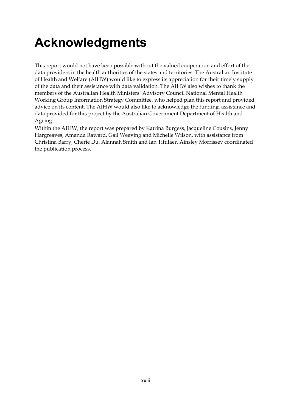# **Acknowledgments**

This report would not have been possible without the valued cooperation and effort of the data providers in the health authorities of the states and territories. The Australian Institute of Health and Welfare (AIHW) would like to express its appreciation for their timely supply of the data and their assistance with data validation. The AIHW also wishes to thank the members of the Australian Health Ministers' Advisory Council National Mental Health Working Group Information Strategy Committee, who helped plan this report and provided advice on its content. The AIHW would also like to acknowledge the funding, assistance and data provided for this project by the Australian Government Department of Health and Ageing.

Within the AIHW, the report was prepared by Katrina Burgess, Jacqueline Cousins, Jenny Hargreaves, Amanda Raward, Gail Weaving and Michelle Wilson, with assistance from Christina Barry, Cherie Du, Alannah Smith and Ian Titulaer. Ainsley Morrissey coordinated the publication process.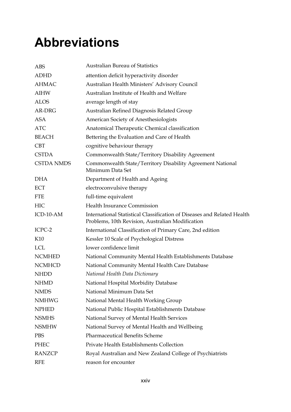# **Abbreviations**

| ABS               | <b>Australian Bureau of Statistics</b>                                                                                      |
|-------------------|-----------------------------------------------------------------------------------------------------------------------------|
| <b>ADHD</b>       | attention deficit hyperactivity disorder                                                                                    |
| <b>AHMAC</b>      | Australian Health Ministers' Advisory Council                                                                               |
| <b>AIHW</b>       | Australian Institute of Health and Welfare                                                                                  |
| <b>ALOS</b>       | average length of stay                                                                                                      |
| AR-DRG            | Australian Refined Diagnosis Related Group                                                                                  |
| <b>ASA</b>        | American Society of Anesthesiologists                                                                                       |
| <b>ATC</b>        | Anatomical Therapeutic Chemical classification                                                                              |
| <b>BEACH</b>      | Bettering the Evaluation and Care of Health                                                                                 |
| <b>CBT</b>        | cognitive behaviour therapy                                                                                                 |
| <b>CSTDA</b>      | Commonwealth State/Territory Disability Agreement                                                                           |
| <b>CSTDA NMDS</b> | Commonwealth State/Territory Disability Agreement National<br>Minimum Data Set                                              |
| <b>DHA</b>        | Department of Health and Ageing                                                                                             |
| ECT               | electroconvulsive therapy                                                                                                   |
| <b>FTE</b>        | full-time equivalent                                                                                                        |
| <b>HIC</b>        | <b>Health Insurance Commission</b>                                                                                          |
| $ICD-10-AM$       | International Statistical Classification of Diseases and Related Health<br>Problems, 10th Revision, Australian Modification |
| ICPC-2            | International Classification of Primary Care, 2nd edition                                                                   |
| K10               | Kessler 10 Scale of Psychological Distress                                                                                  |
| <b>LCL</b>        | lower confidence limit                                                                                                      |
| <b>NCMHED</b>     | National Community Mental Health Establishments Database                                                                    |
| <b>NCMHCD</b>     | National Community Mental Health Care Database                                                                              |
| <b>NHDD</b>       | National Health Data Dictionary                                                                                             |
| <b>NHMD</b>       | National Hospital Morbidity Database                                                                                        |
| <b>NMDS</b>       | National Minimum Data Set                                                                                                   |
| <b>NMHWG</b>      | National Mental Health Working Group                                                                                        |
| <b>NPHED</b>      | National Public Hospital Establishments Database                                                                            |
| <b>NSMHS</b>      | National Survey of Mental Health Services                                                                                   |
| <b>NSMHW</b>      | National Survey of Mental Health and Wellbeing                                                                              |
| <b>PBS</b>        | <b>Pharmaceutical Benefits Scheme</b>                                                                                       |
| PHEC              | Private Health Establishments Collection                                                                                    |
| <b>RANZCP</b>     | Royal Australian and New Zealand College of Psychiatrists                                                                   |
| <b>RFE</b>        | reason for encounter                                                                                                        |